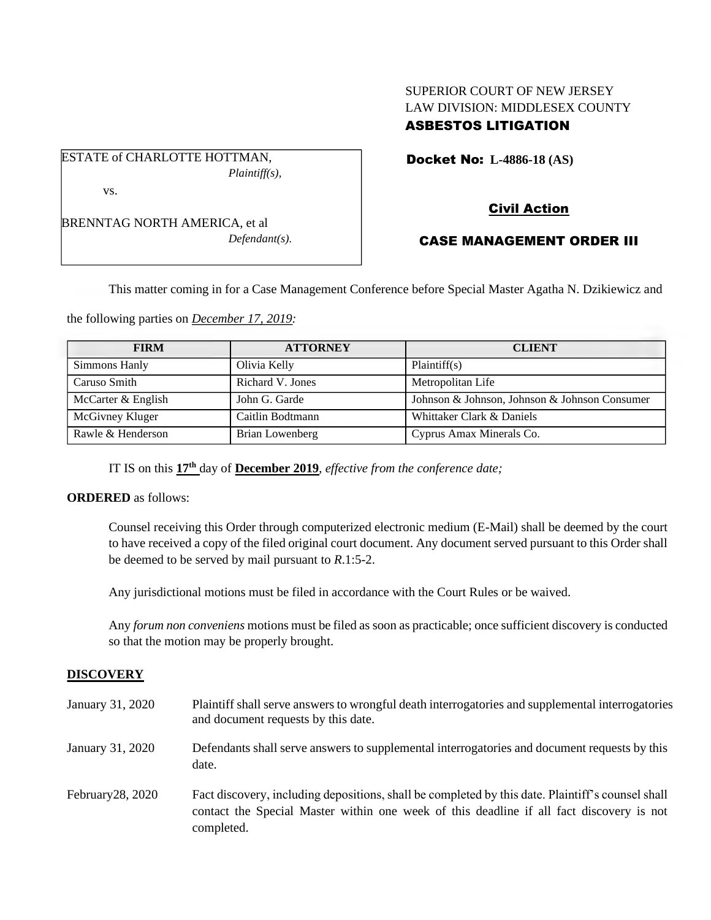# SUPERIOR COURT OF NEW JERSEY LAW DIVISION: MIDDLESEX COUNTY ASBESTOS LITIGATION

ESTATE of CHARLOTTE HOTTMAN, *Plaintiff(s),* Docket No: **L-4886-18 (AS)** 

vs.

BRENNTAG NORTH AMERICA, et al *Defendant(s).* Civil Action

# CASE MANAGEMENT ORDER III

This matter coming in for a Case Management Conference before Special Master Agatha N. Dzikiewicz and

the following parties on *December 17, 2019:*

| <b>FIRM</b>        | <b>ATTORNEY</b>  | <b>CLIENT</b>                                 |
|--------------------|------------------|-----------------------------------------------|
| Simmons Hanly      | Olivia Kelly     | Plaintiff(s)                                  |
| Caruso Smith       | Richard V. Jones | Metropolitan Life                             |
| McCarter & English | John G. Garde    | Johnson & Johnson, Johnson & Johnson Consumer |
| McGivney Kluger    | Caitlin Bodtmann | Whittaker Clark & Daniels                     |
| Rawle & Henderson  | Brian Lowenberg  | Cyprus Amax Minerals Co.                      |

IT IS on this **17th** day of **December 2019**, *effective from the conference date;*

### **ORDERED** as follows:

Counsel receiving this Order through computerized electronic medium (E-Mail) shall be deemed by the court to have received a copy of the filed original court document. Any document served pursuant to this Order shall be deemed to be served by mail pursuant to *R*.1:5-2.

Any jurisdictional motions must be filed in accordance with the Court Rules or be waived.

Any *forum non conveniens* motions must be filed as soon as practicable; once sufficient discovery is conducted so that the motion may be properly brought.

# **DISCOVERY**

| January 31, 2020    | Plaintiff shall serve answers to wrongful death interrogatories and supplemental interrogatories<br>and document requests by this date.                                                                     |
|---------------------|-------------------------------------------------------------------------------------------------------------------------------------------------------------------------------------------------------------|
| January 31, 2020    | Defendants shall serve answers to supplemental interrogatories and document requests by this<br>date.                                                                                                       |
| February $28, 2020$ | Fact discovery, including depositions, shall be completed by this date. Plaintiff's counsel shall<br>contact the Special Master within one week of this deadline if all fact discovery is not<br>completed. |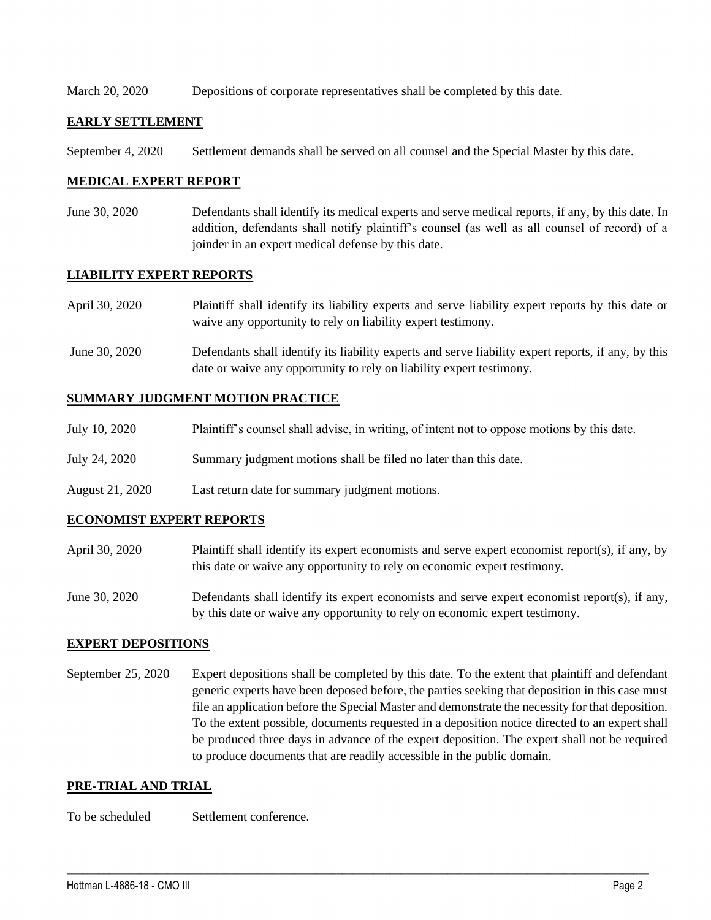March 20, 2020 Depositions of corporate representatives shall be completed by this date.

## **EARLY SETTLEMENT**

September 4, 2020 Settlement demands shall be served on all counsel and the Special Master by this date.

## **MEDICAL EXPERT REPORT**

June 30, 2020 Defendants shall identify its medical experts and serve medical reports, if any, by this date. In addition, defendants shall notify plaintiff's counsel (as well as all counsel of record) of a joinder in an expert medical defense by this date.

## **LIABILITY EXPERT REPORTS**

| April 30, 2020 | Plaintiff shall identify its liability experts and serve liability expert reports by this date or<br>waive any opportunity to rely on liability expert testimony.           |
|----------------|-----------------------------------------------------------------------------------------------------------------------------------------------------------------------------|
| June 30, 2020  | Defendants shall identify its liability experts and serve liability expert reports, if any, by this<br>date or waive any opportunity to rely on liability expert testimony. |

## **SUMMARY JUDGMENT MOTION PRACTICE**

| July 10, 2020   | Plaintiff's counsel shall advise, in writing, of intent not to oppose motions by this date. |
|-----------------|---------------------------------------------------------------------------------------------|
| July 24, 2020   | Summary judgment motions shall be filed no later than this date.                            |
| August 21, 2020 | Last return date for summary judgment motions.                                              |

### **ECONOMIST EXPERT REPORTS**

- April 30, 2020 Plaintiff shall identify its expert economists and serve expert economist report(s), if any, by this date or waive any opportunity to rely on economic expert testimony.
- June 30, 2020 Defendants shall identify its expert economists and serve expert economist report(s), if any, by this date or waive any opportunity to rely on economic expert testimony.

### **EXPERT DEPOSITIONS**

September 25, 2020 Expert depositions shall be completed by this date. To the extent that plaintiff and defendant generic experts have been deposed before, the parties seeking that deposition in this case must file an application before the Special Master and demonstrate the necessity for that deposition. To the extent possible, documents requested in a deposition notice directed to an expert shall be produced three days in advance of the expert deposition. The expert shall not be required to produce documents that are readily accessible in the public domain.

 $\_$  , and the set of the set of the set of the set of the set of the set of the set of the set of the set of the set of the set of the set of the set of the set of the set of the set of the set of the set of the set of th

### **PRE-TRIAL AND TRIAL**

To be scheduled Settlement conference.